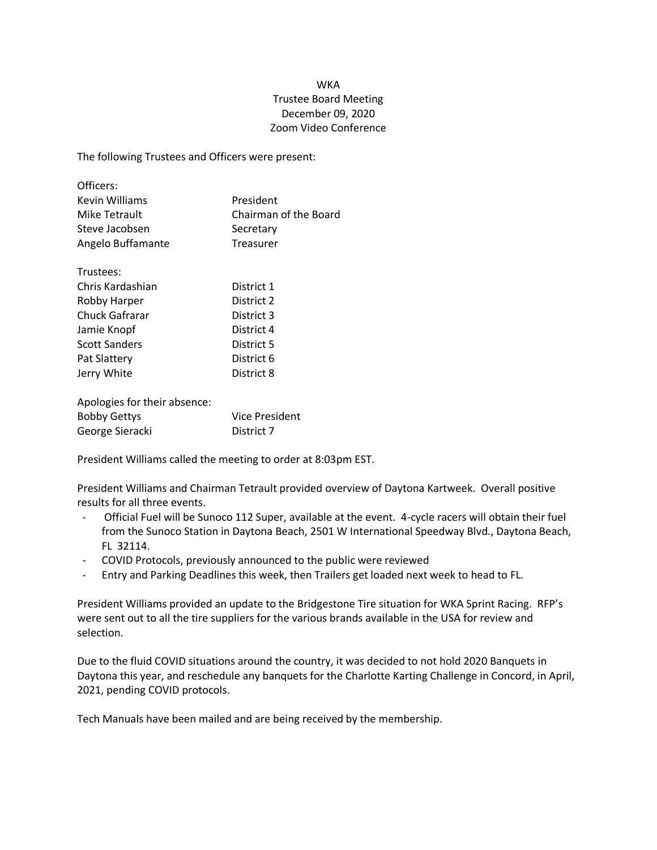## **WKA** Trustee Board Meeting December 09, 2020 Zoom Video Conference

The following Trustees and Officers were present:

| Officers:             |                       |
|-----------------------|-----------------------|
| <b>Kevin Williams</b> | President             |
| Mike Tetrault         | Chairman of the Board |
| Steve Jacobsen        | Secretary             |
| Angelo Buffamante     | Treasurer             |

| Trustees:            |            |
|----------------------|------------|
| Chris Kardashian     | District 1 |
| Robby Harper         | District 2 |
| Chuck Gafrarar       | District 3 |
| Jamie Knopf          | District 4 |
| <b>Scott Sanders</b> | District 5 |
| Pat Slattery         | District 6 |
| Jerry White          | District 8 |
|                      |            |

| Apologies for their absence: |                |
|------------------------------|----------------|
| <b>Bobby Gettys</b>          | Vice President |
| George Sieracki              | District 7     |

President Williams called the meeting to order at 8:03pm EST.

President Williams and Chairman Tetrault provided overview of Daytona Kartweek. Overall positive results for all three events.

- Official Fuel will be Sunoco 112 Super, available at the event. 4-cycle racers will obtain their fuel from the Sunoco Station in Daytona Beach, 2501 W International Speedway Blvd., Daytona Beach, FL 32114.
- COVID Protocols, previously announced to the public were reviewed
- Entry and Parking Deadlines this week, then Trailers get loaded next week to head to FL.

President Williams provided an update to the Bridgestone Tire situation for WKA Sprint Racing. RFP's were sent out to all the tire suppliers for the various brands available in the USA for review and selection.

Due to the fluid COVID situations around the country, it was decided to not hold 2020 Banquets in Daytona this year, and reschedule any banquets for the Charlotte Karting Challenge in Concord, in April, 2021, pending COVID protocols.

Tech Manuals have been mailed and are being received by the membership.